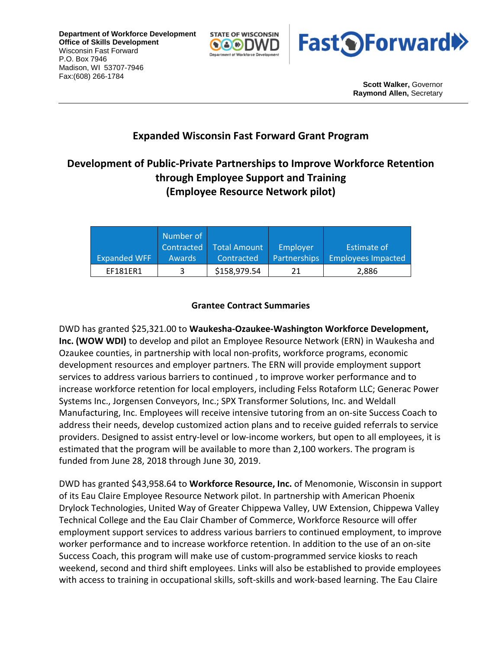**Department of Workforce Development Office of Skills Development** Wisconsin Fast Forward P.O. Box 7946 Madison, WI 53707-7946 Fax:(608) 266-1784





**Scott Walker,** Governor **Raymond Allen,** Secretary

## **Expanded Wisconsin Fast Forward Grant Program**

## **Development of Public-Private Partnerships to Improve Workforce Retention through Employee Support and Training (Employee Resource Network pilot)**

|                     | Number of     |              |              |                    |
|---------------------|---------------|--------------|--------------|--------------------|
|                     | Contracted    | Total Amount | Employer     | Estimate of        |
| <b>Expanded WFF</b> | <b>Awards</b> | Contracted   | Partnerships | Employees Impacted |
| <b>FF181FR1</b>     |               | \$158,979.54 | 21           | 2,886              |

## **Grantee Contract Summaries**

DWD has granted \$25,321.00 to **Waukesha-Ozaukee-Washington Workforce Development, Inc. (WOW WDI)** to develop and pilot an Employee Resource Network (ERN) in Waukesha and Ozaukee counties, in partnership with local non-profits, workforce programs, economic development resources and employer partners. The ERN will provide employment support services to address various barriers to continued , to improve worker performance and to increase workforce retention for local employers, including Felss Rotaform LLC; Generac Power Systems Inc., Jorgensen Conveyors, Inc.; SPX Transformer Solutions, Inc. and Weldall Manufacturing, Inc. Employees will receive intensive tutoring from an on-site Success Coach to address their needs, develop customized action plans and to receive guided referrals to service providers. Designed to assist entry-level or low-income workers, but open to all employees, it is estimated that the program will be available to more than 2,100 workers. The program is funded from June 28, 2018 through June 30, 2019.

DWD has granted \$43,958.64 to **Workforce Resource, Inc.** of Menomonie, Wisconsin in support of its Eau Claire Employee Resource Network pilot. In partnership with American Phoenix Drylock Technologies, United Way of Greater Chippewa Valley, UW Extension, Chippewa Valley Technical College and the Eau Clair Chamber of Commerce, Workforce Resource will offer employment support services to address various barriers to continued employment, to improve worker performance and to increase workforce retention. In addition to the use of an on-site Success Coach, this program will make use of custom-programmed service kiosks to reach weekend, second and third shift employees. Links will also be established to provide employees with access to training in occupational skills, soft-skills and work-based learning. The Eau Claire